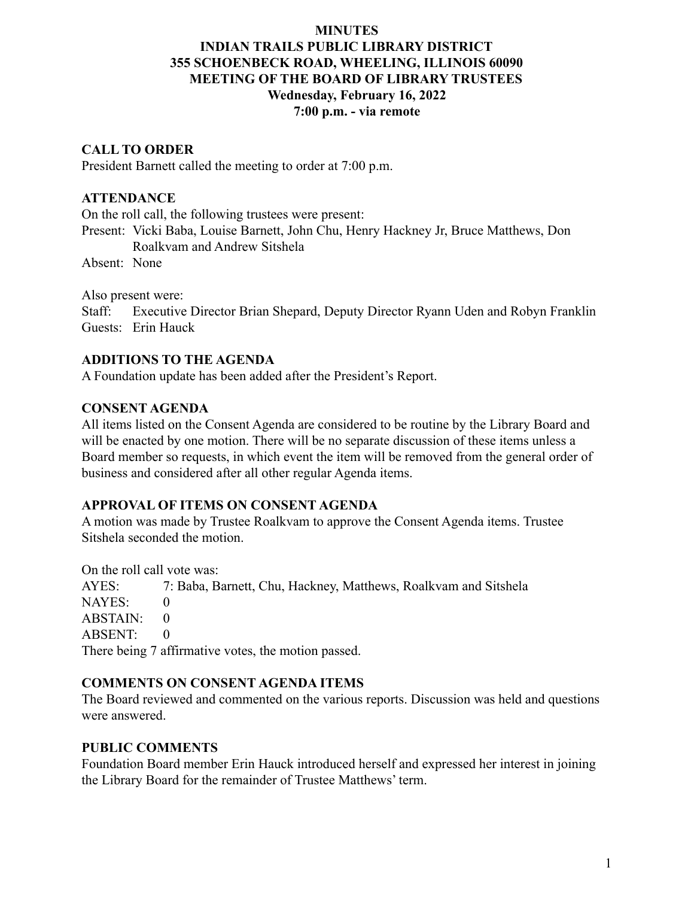#### **MINUTES**

# **INDIAN TRAILS PUBLIC LIBRARY DISTRICT 355 SCHOENBECK ROAD, WHEELING, ILLINOIS 60090 MEETING OF THE BOARD OF LIBRARY TRUSTEES Wednesday, February 16, 2022 7:00 p.m. - via remote**

### **CALL TO ORDER**

President Barnett called the meeting to order at 7:00 p.m.

## **ATTENDANCE**

On the roll call, the following trustees were present:

Present: Vicki Baba, Louise Barnett, John Chu, Henry Hackney Jr, Bruce Matthews, Don Roalkvam and Andrew Sitshela

Absent: None

Also present were:

Staff: Executive Director Brian Shepard, Deputy Director Ryann Uden and Robyn Franklin Guests: Erin Hauck

### **ADDITIONS TO THE AGENDA**

A Foundation update has been added after the President's Report.

#### **CONSENT AGENDA**

All items listed on the Consent Agenda are considered to be routine by the Library Board and will be enacted by one motion. There will be no separate discussion of these items unless a Board member so requests, in which event the item will be removed from the general order of business and considered after all other regular Agenda items.

# **APPROVAL OF ITEMS ON CONSENT AGENDA**

A motion was made by Trustee Roalkvam to approve the Consent Agenda items. Trustee Sitshela seconded the motion.

On the roll call vote was:

AYES: 7: Baba, Barnett, Chu, Hackney, Matthews, Roalkvam and Sitshela  $NAYES: 0$  $ABSTAIN: 0$ ABSENT: 0 There being 7 affirmative votes, the motion passed.

# **COMMENTS ON CONSENT AGENDA ITEMS**

The Board reviewed and commented on the various reports. Discussion was held and questions were answered.

#### **PUBLIC COMMENTS**

Foundation Board member Erin Hauck introduced herself and expressed her interest in joining the Library Board for the remainder of Trustee Matthews' term.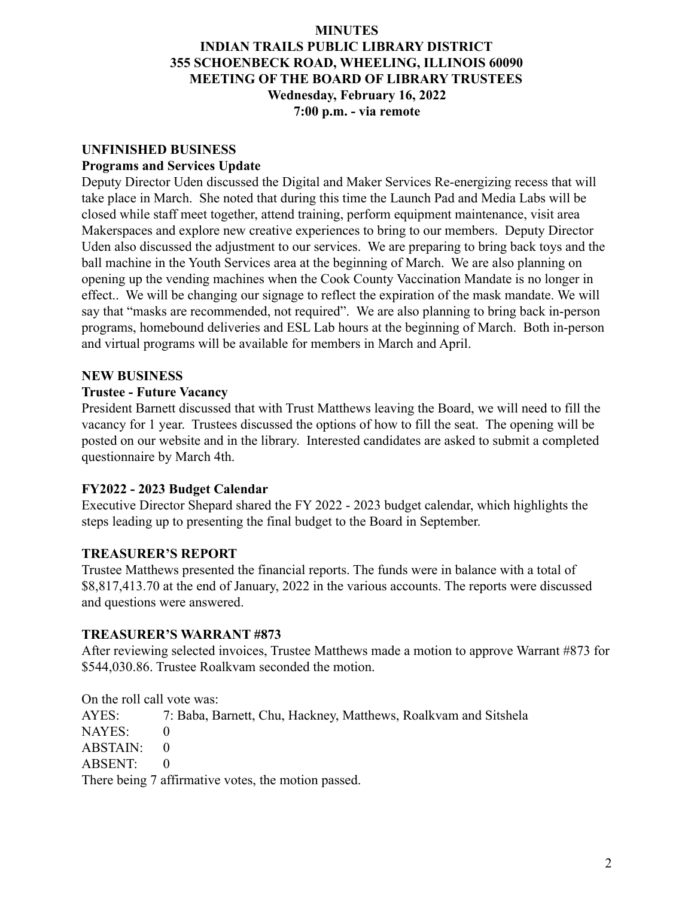#### **MINUTES**

# **INDIAN TRAILS PUBLIC LIBRARY DISTRICT 355 SCHOENBECK ROAD, WHEELING, ILLINOIS 60090 MEETING OF THE BOARD OF LIBRARY TRUSTEES Wednesday, February 16, 2022 7:00 p.m. - via remote**

# **UNFINISHED BUSINESS**

#### **Programs and Services Update**

Deputy Director Uden discussed the Digital and Maker Services Re-energizing recess that will take place in March. She noted that during this time the Launch Pad and Media Labs will be closed while staff meet together, attend training, perform equipment maintenance, visit area Makerspaces and explore new creative experiences to bring to our members. Deputy Director Uden also discussed the adjustment to our services. We are preparing to bring back toys and the ball machine in the Youth Services area at the beginning of March. We are also planning on opening up the vending machines when the Cook County Vaccination Mandate is no longer in effect.. We will be changing our signage to reflect the expiration of the mask mandate. We will say that "masks are recommended, not required". We are also planning to bring back in-person programs, homebound deliveries and ESL Lab hours at the beginning of March. Both in-person and virtual programs will be available for members in March and April.

### **NEW BUSINESS**

### **Trustee - Future Vacancy**

President Barnett discussed that with Trust Matthews leaving the Board, we will need to fill the vacancy for 1 year. Trustees discussed the options of how to fill the seat. The opening will be posted on our website and in the library. Interested candidates are asked to submit a completed questionnaire by March 4th.

# **FY2022 - 2023 Budget Calendar**

Executive Director Shepard shared the FY 2022 - 2023 budget calendar, which highlights the steps leading up to presenting the final budget to the Board in September.

# **TREASURER'S REPORT**

Trustee Matthews presented the financial reports. The funds were in balance with a total of \$8,817,413.70 at the end of January, 2022 in the various accounts. The reports were discussed and questions were answered.

#### **TREASURER'S WARRANT #873**

After reviewing selected invoices, Trustee Matthews made a motion to approve Warrant #873 for \$544,030.86. Trustee Roalkvam seconded the motion.

On the roll call vote was:

AYES: 7: Baba, Barnett, Chu, Hackney, Matthews, Roalkvam and Sitshela NAYES: 0 ABSTAIN: 0 ABSENT: 0 There being 7 affirmative votes, the motion passed.